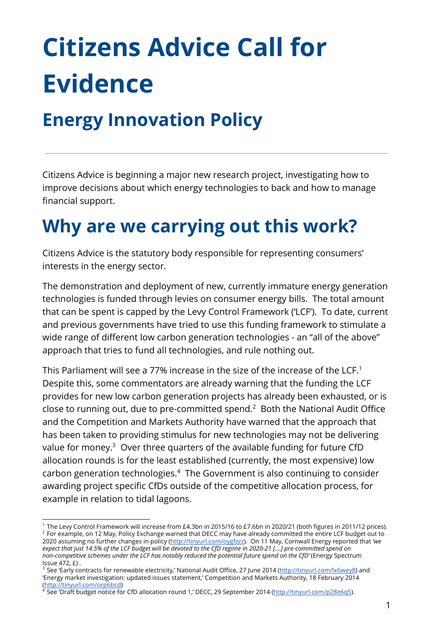# **Citizens Advice Call for Evidence**

#### **Energy Innovation Policy**

Citizens Advice is beginning a major new research project, investigating how to improve decisions about which energy technologies to back and how to manage financial support.

## **Why are we carrying out this work?**

Citizens Advice is the statutory body responsible for representing consumers' interests in the energy sector.

The demonstration and deployment of new, currently immature energy generation technologies is funded through levies on consumer energy bills. The total amount that can be spent is capped by the Levy Control Framework ('LCF'). To date, current and previous governments have tried to use this funding framework to stimulate a wide range of different low carbon generation technologies - an "all of the above" approach that tries to fund all technologies, and rule nothing out.

This Parliament will see a 77% increase in the size of the increase of the LCF. $^{\rm 1}$ Despite this, some commentators are already warning that the funding the LCF provides for new low carbon generation projects has already been exhausted, or is close to running out, due to pre-committed spend. $2$  Both the National Audit Office and the Competition and Markets Authority have warned that the approach that has been taken to providing stimulus for new technologies may not be delivering value for money. $3$  Over three quarters of the available funding for future CfD allocation rounds is for the least established (currently, the most expensive) low carbon generation technologies.<sup>4</sup> The Government is also continuing to consider awarding project specific CfDs outside of the competitive allocation process, for example in relation to tidal lagoons.

<sup>1</sup> The Levy Control Framework will increase from £4.3bn in 2015/16 to £7.6bn in 2020/21 (both figures in 2011/12 prices).  $2$  For example, on 12 May, Policy Exchange warned that DECC may have already committed the entire LCF budget out to 2020 assuming no further changes in policy [\(http://tinyurl.com/oygfzzz\)](http://tinyurl.com/oygfzzz). On 11 May, Cornwall Energy reported that *'we* expect that just 14.5% of the LCF budget will be devoted to the CfD regime in 2020-21 [....] pre-committed spend on *non-competitive schemes under the LCF has notably reduced the potential future spend on the CfD'* (Energy Spectrum Issue 472, £) .

<sup>&</sup>lt;sup>3</sup> See 'Early contracts for renewable electricity,' National Audit Office, 27 June 2014 [\(http://tinyurl.com/lx6wey8\)](http://tinyurl.com/lx6wey8) and 'Energy market investigation: updated issues statement,' Competition and Markets Authority, 18 February 2014 [\(http://tinyurl.com/orp6bcd\)](http://tinyurl.com/orp6bcd)

<sup>4</sup> See 'Draft budget notice for CfD allocation round 1,' DECC, 29 September 2014 ([http://tinyurl.com/p28e6q5\)](http://tinyurl.com/p28e6q5).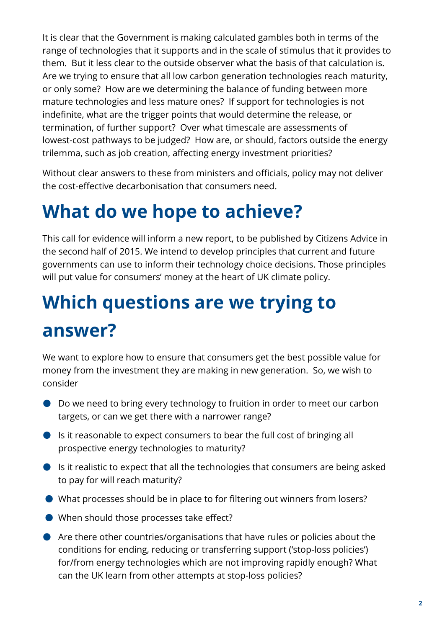It is clear that the Government is making calculated gambles both in terms of the range of technologies that it supports and in the scale of stimulus that it provides to them. But it less clear to the outside observer what the basis of that calculation is. Are we trying to ensure that all low carbon generation technologies reach maturity, or only some? How are we determining the balance of funding between more mature technologies and less mature ones? If support for technologies is not indefinite, what are the trigger points that would determine the release, or termination, of further support? Over what timescale are assessments of lowest-cost pathways to be judged? How are, or should, factors outside the energy trilemma, such as job creation, affecting energy investment priorities?

Without clear answers to these from ministers and officials, policy may not deliver the cost-effective decarbonisation that consumers need.

### **What do we hope to achieve?**

This call for evidence will inform a new report, to be published by Citizens Advice in the second half of 2015. We intend to develop principles that current and future governments can use to inform their technology choice decisions. Those principles will put value for consumers' money at the heart of UK climate policy.

# **Which questions are we trying to answer?**

We want to explore how to ensure that consumers get the best possible value for money from the investment they are making in new generation. So, we wish to consider

- Do we need to bring every technology to fruition in order to meet our carbon targets, or can we get there with a narrower range?
- Is it reasonable to expect consumers to bear the full cost of bringing all prospective energy technologies to maturity?
- Is it realistic to expect that all the technologies that consumers are being asked to pay for will reach maturity?
- What processes should be in place to for filtering out winners from losers?
- When should those processes take effect?
- Are there other countries/organisations that have rules or policies about the conditions for ending, reducing or transferring support ('stop-loss policies') for/from energy technologies which are not improving rapidly enough? What can the UK learn from other attempts at stop-loss policies?